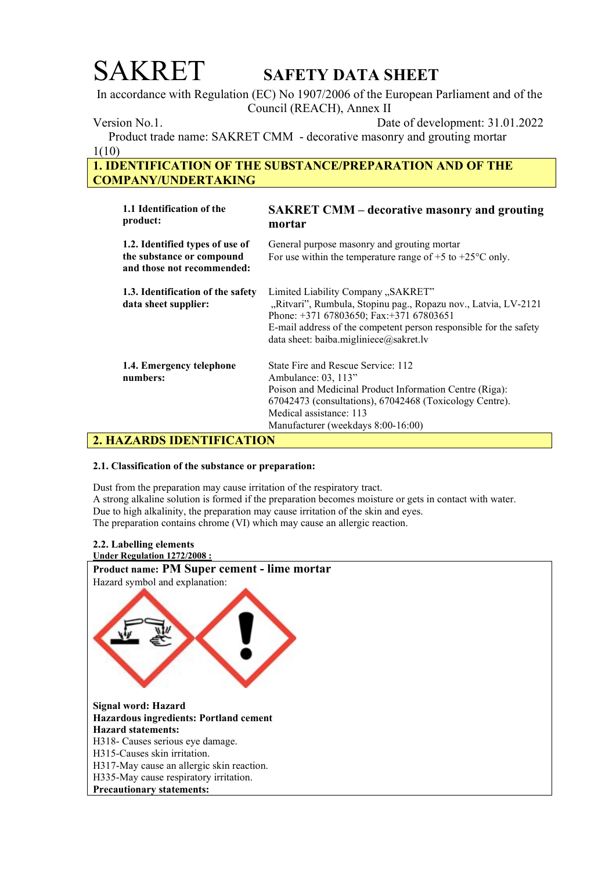In accordance with Regulation (EC) No 1907/2006 of the European Parliament and of the Council (REACH), Annex II

Version No.1. Date of development: 31.01.2022

 Product trade name: SAKRET CMM - decorative masonry and grouting mortar 1(10)

## 1. IDENTIFICATION OF THE SUBSTANCE/PREPARATION AND OF THE COMPANY/UNDERTAKING

| 1.1 Identification of the<br>product:                                                      | <b>SAKRET CMM – decorative masonry and grouting</b><br>mortar                                                                                                                                                                                                  |
|--------------------------------------------------------------------------------------------|----------------------------------------------------------------------------------------------------------------------------------------------------------------------------------------------------------------------------------------------------------------|
| 1.2. Identified types of use of<br>the substance or compound<br>and those not recommended: | General purpose masonry and grouting mortar<br>For use within the temperature range of $+5$ to $+25^{\circ}$ C only.                                                                                                                                           |
| 1.3. Identification of the safety<br>data sheet supplier:                                  | Limited Liability Company "SAKRET"<br>"Ritvari", Rumbula, Stopinu pag., Ropazu nov., Latvia, LV-2121<br>Phone: +371 67803650; Fax:+371 67803651<br>E-mail address of the competent person responsible for the safety<br>data sheet: baiba.migliniece@sakret.lv |
| 1.4. Emergency telephone<br>numbers:                                                       | State Fire and Rescue Service: 112<br>Ambulance: 03, 113"<br>Poison and Medicinal Product Information Centre (Riga):<br>67042473 (consultations), 67042468 (Toxicology Centre).<br>Medical assistance: 113<br>Manufacturer (weekdays 8:00-16:00)               |

## 2. HAZARDS IDENTIFICATION

## 2.1. Classification of the substance or preparation:

Dust from the preparation may cause irritation of the respiratory tract. A strong alkaline solution is formed if the preparation becomes moisture or gets in contact with water. Due to high alkalinity, the preparation may cause irritation of the skin and eyes. The preparation contains chrome (VI) which may cause an allergic reaction.

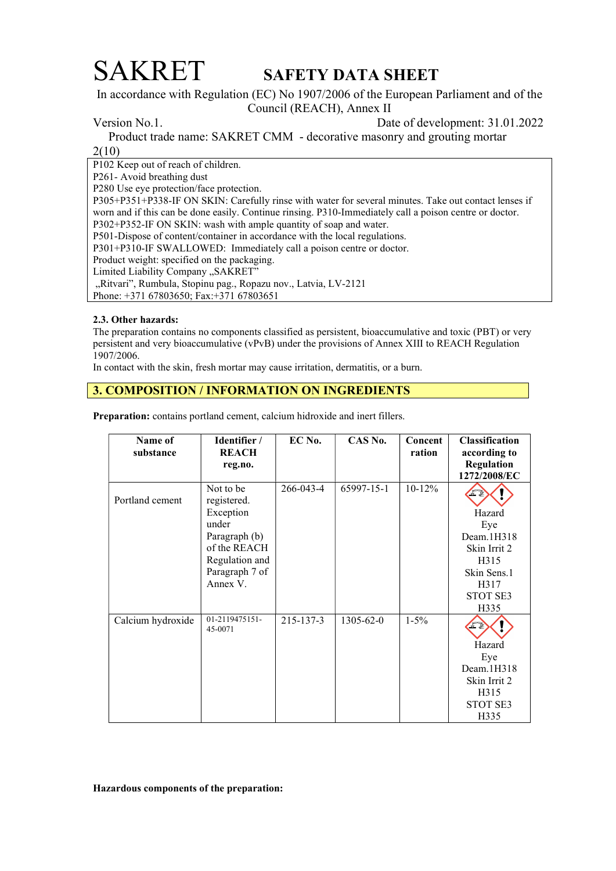In accordance with Regulation (EC) No 1907/2006 of the European Parliament and of the Council (REACH), Annex II

Version No.1. Date of development: 31.01.2022

Product trade name: SAKRET CMM - decorative masonry and grouting mortar

2(10)

P102 Keep out of reach of children. P261- Avoid breathing dust P280 Use eye protection/face protection. P305+P351+P338-IF ON SKIN: Carefully rinse with water for several minutes. Take out contact lenses if worn and if this can be done easily. Continue rinsing. P310-Immediately call a poison centre or doctor. P302+P352-IF ON SKIN: wash with ample quantity of soap and water. P501-Dispose of content/container in accordance with the local regulations. P301+P310-IF SWALLOWED: Immediately call a poison centre or doctor. Product weight: specified on the packaging. Limited Liability Company "SAKRET" "Ritvari", Rumbula, Stopinu pag., Ropazu nov., Latvia, LV-2121 Phone: +371 67803650; Fax:+371 67803651

## 2.3. Other hazards:

The preparation contains no components classified as persistent, bioaccumulative and toxic (PBT) or very persistent and very bioaccumulative (vPvB) under the provisions of Annex XIII to REACH Regulation 1907/2006.

In contact with the skin, fresh mortar may cause irritation, dermatitis, or a burn.

## 3. COMPOSITION / INFORMATION ON INGREDIENTS

| Name of<br>substance | Identifier /<br><b>REACH</b><br>reg.no.                                                                                         | EC No.    | CAS No.         | Concent<br>ration | Classification<br>according to<br>Regulation                                                   |
|----------------------|---------------------------------------------------------------------------------------------------------------------------------|-----------|-----------------|-------------------|------------------------------------------------------------------------------------------------|
|                      |                                                                                                                                 |           |                 |                   | 1272/2008/EC                                                                                   |
| Portland cement      | Not to be<br>registered.<br>Exception<br>under<br>Paragraph (b)<br>of the REACH<br>Regulation and<br>Paragraph 7 of<br>Annex V. | 266-043-4 | 65997-15-1      | $10-12%$          | Hazard<br>Eye<br>Deam.1H318<br>Skin Irrit 2<br>H315<br>Skin Sens.1<br>H317<br>STOT SE3<br>H335 |
| Calcium hydroxide    | 01-2119475151-<br>45-0071                                                                                                       | 215-137-3 | $1305 - 62 - 0$ | $1 - 5\%$         | Hazard<br>Eye<br>Dean.1H318<br>Skin Irrit 2<br>H315<br>STOT SE3<br>H335                        |

Preparation: contains portland cement, calcium hidroxide and inert fillers.

Hazardous components of the preparation: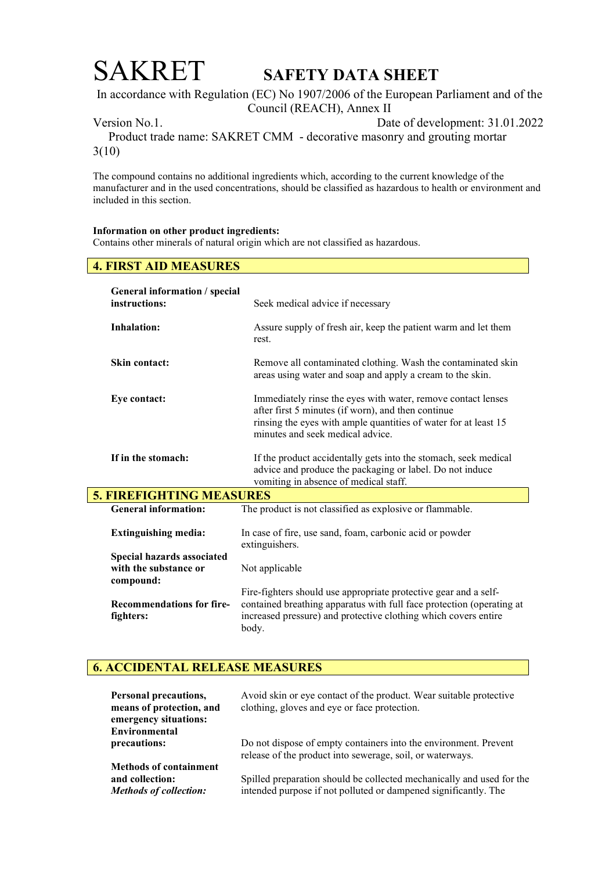In accordance with Regulation (EC) No 1907/2006 of the European Parliament and of the Council (REACH), Annex II

Version No.1. Date of development: 31.01.2022

 Product trade name: SAKRET CMM - decorative masonry and grouting mortar 3(10)

The compound contains no additional ingredients which, according to the current knowledge of the manufacturer and in the used concentrations, should be classified as hazardous to health or environment and included in this section.

### Information on other product ingredients:

Contains other minerals of natural origin which are not classified as hazardous.

## 4. FIRST AID MEASURES

| General information / special<br>instructions: | Seek medical advice if necessary                                                                                                                                                                                          |
|------------------------------------------------|---------------------------------------------------------------------------------------------------------------------------------------------------------------------------------------------------------------------------|
| <b>Inhalation:</b>                             | Assure supply of fresh air, keep the patient warm and let them<br>rest.                                                                                                                                                   |
| <b>Skin contact:</b>                           | Remove all contaminated clothing. Wash the contaminated skin<br>areas using water and soap and apply a cream to the skin.                                                                                                 |
| Eye contact:                                   | Immediately rinse the eyes with water, remove contact lenses<br>after first 5 minutes (if worn), and then continue<br>rinsing the eyes with ample quantities of water for at least 15<br>minutes and seek medical advice. |
| If in the stomach:                             | If the product accidentally gets into the stomach, seek medical<br>advice and produce the packaging or label. Do not induce<br>vomiting in absence of medical staff.                                                      |
| <b>5. FIREFIGHTING MEASURES</b>                |                                                                                                                                                                                                                           |
| <b>General information:</b>                    | The product is not classified as explosive or flammable.                                                                                                                                                                  |
| <b>Extinguishing media:</b>                    | In case of fire, use sand, foam, carbonic acid or powder<br>extinguishers.                                                                                                                                                |
| Special hazards associated                     |                                                                                                                                                                                                                           |
| with the substance or<br>compound:             | Not applicable                                                                                                                                                                                                            |
|                                                | Fire-fighters should use appropriate protective gear and a self-                                                                                                                                                          |
| <b>Recommendations for fire-</b><br>fighters:  | contained breathing apparatus with full face protection (operating at<br>increased pressure) and protective clothing which covers entire<br>body.                                                                         |

## 6. ACCIDENTAL RELEASE MEASURES

| Personal precautions,<br>means of protection, and<br>emergency situations: | Avoid skin or eye contact of the product. Wear suitable protective<br>clothing, gloves and eye or face protection.            |
|----------------------------------------------------------------------------|-------------------------------------------------------------------------------------------------------------------------------|
| Environmental                                                              |                                                                                                                               |
| precautions:                                                               | Do not dispose of empty containers into the environment. Prevent<br>release of the product into sewerage, soil, or waterways. |
| <b>Methods of containment</b>                                              |                                                                                                                               |
| and collection:                                                            | Spilled preparation should be collected mechanically and used for the                                                         |
| <b>Methods of collection:</b>                                              | intended purpose if not polluted or dampened significantly. The                                                               |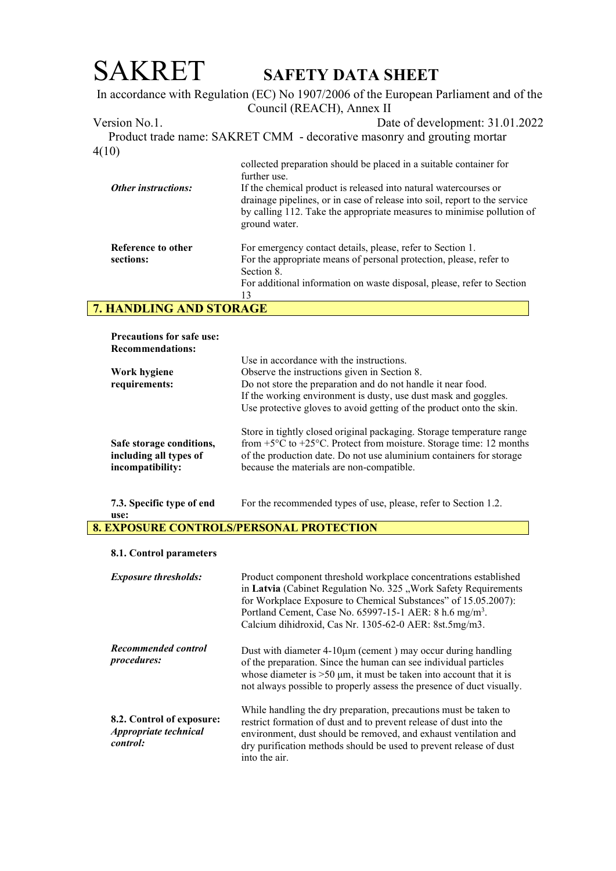## SAKRET SAFETY DATA SHEET In accordance with Regulation (EC) No 1907/2006 of the European Parliament and of the Council (REACH), Annex II Version No.1. Date of development: 31.01.2022 Product trade name: SAKRET CMM - decorative masonry and grouting mortar 4(10) Other instructions: Reference to other sections: collected preparation should be placed in a suitable container for further use. If the chemical product is released into natural watercourses or drainage pipelines, or in case of release into soil, report to the service by calling 112. Take the appropriate measures to minimise pollution of ground water. For emergency contact details, please, refer to Section 1. For the appropriate means of personal protection, please, refer to Section 8.

For additional information on waste disposal, please, refer to Section 13

## 7. HANDLING AND STORAGE

| <b>Precautions for safe use:</b>                                       |                                                                                                                                                                                                                                                                                     |
|------------------------------------------------------------------------|-------------------------------------------------------------------------------------------------------------------------------------------------------------------------------------------------------------------------------------------------------------------------------------|
| <b>Recommendations:</b>                                                |                                                                                                                                                                                                                                                                                     |
|                                                                        | Use in accordance with the instructions.                                                                                                                                                                                                                                            |
| Work hygiene                                                           | Observe the instructions given in Section 8.                                                                                                                                                                                                                                        |
| requirements:                                                          | Do not store the preparation and do not handle it near food.                                                                                                                                                                                                                        |
|                                                                        | If the working environment is dusty, use dust mask and goggles.                                                                                                                                                                                                                     |
|                                                                        | Use protective gloves to avoid getting of the product onto the skin.                                                                                                                                                                                                                |
| Safe storage conditions,<br>including all types of<br>incompatibility: | Store in tightly closed original packaging. Storage temperature range<br>from $+5^{\circ}$ C to $+25^{\circ}$ C. Protect from moisture. Storage time: 12 months<br>of the production date. Do not use aluminium containers for storage<br>because the materials are non-compatible. |
|                                                                        |                                                                                                                                                                                                                                                                                     |

7.3. Specific type of end For the recommended types of use, please, refer to Section 1.2.

use:

## 8. EXPOSURE CONTROLS/PERSONAL PROTECTION

### 8.1. Control parameters

| <b>Exposure thresholds:</b>                                    | Product component threshold workplace concentrations established<br>in Latvia (Cabinet Regulation No. 325 "Work Safety Requirements<br>for Workplace Exposure to Chemical Substances" of 15.05.2007):<br>Portland Cement, Case No. 65997-15-1 AER: 8 h.6 mg/m <sup>3</sup> .<br>Calcium dihidroxid, Cas Nr. 1305-62-0 AER: 8st.5mg/m3. |
|----------------------------------------------------------------|----------------------------------------------------------------------------------------------------------------------------------------------------------------------------------------------------------------------------------------------------------------------------------------------------------------------------------------|
| Recommended control<br><i>procedures:</i>                      | Dust with diameter $4-10\mu m$ (cement) may occur during handling<br>of the preparation. Since the human can see individual particles<br>whose diameter is $>50 \mu m$ , it must be taken into account that it is<br>not always possible to properly assess the presence of duct visually.                                             |
| 8.2. Control of exposure:<br>Appropriate technical<br>control: | While handling the dry preparation, precautions must be taken to<br>restrict formation of dust and to prevent release of dust into the<br>environment, dust should be removed, and exhaust ventilation and<br>dry purification methods should be used to prevent release of dust<br>into the air.                                      |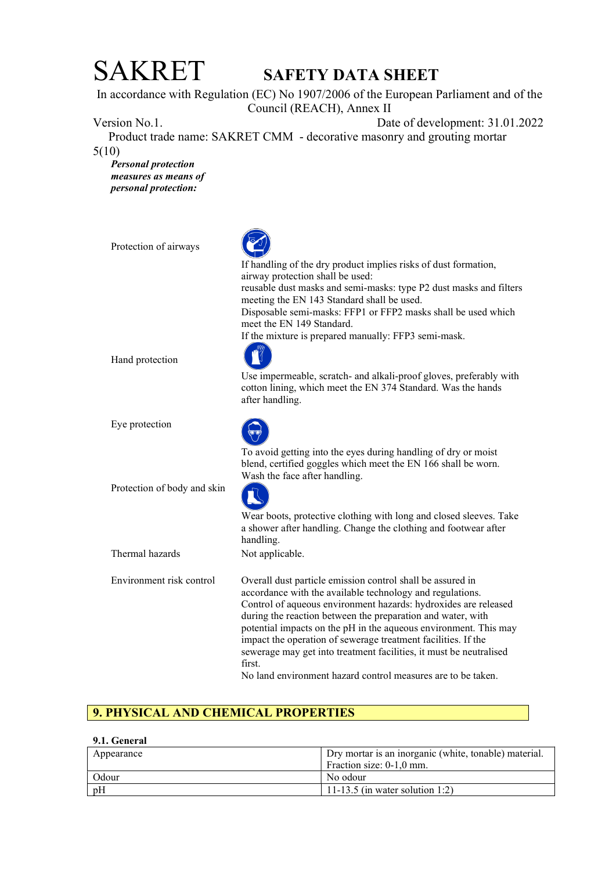In accordance with Regulation (EC) No 1907/2006 of the European Parliament and of the Council (REACH), Annex II

Version No.1. Date of development: 31.01.2022

 Product trade name: SAKRET CMM - decorative masonry and grouting mortar 5(10)

Personal protection measures as means of personal protection:

Protection of airways If handling of the dry product implies risks of dust formation, airway protection shall be used: reusable dust masks and semi-masks: type P2 dust masks and filters meeting the EN 143 Standard shall be used. Disposable semi-masks: FFP1 or FFP2 masks shall be used which meet the EN 149 Standard. If the mixture is prepared manually: FFP3 semi-mask. Hand protection Use impermeable, scratch- and alkali-proof gloves, preferably with cotton lining, which meet the EN 374 Standard. Was the hands after handling. Eye protection To avoid getting into the eyes during handling of dry or moist blend, certified goggles which meet the EN 166 shall be worn. Wash the face after handling. Protection of body and skin Wear boots, protective clothing with long and closed sleeves. Take a shower after handling. Change the clothing and footwear after handling. Thermal hazards Not applicable. Environment risk control Overall dust particle emission control shall be assured in accordance with the available technology and regulations. Control of aqueous environment hazards: hydroxides are released during the reaction between the preparation and water, with potential impacts on the pH in the aqueous environment. This may impact the operation of sewerage treatment facilities. If the sewerage may get into treatment facilities, it must be neutralised first. No land environment hazard control measures are to be taken.

## 9. PHYSICAL AND CHEMICAL PROPERTIES

### 9.1. General

| Dry mortar is an inorganic (white, tonable) material.<br>Appearance |                                 |
|---------------------------------------------------------------------|---------------------------------|
|                                                                     | Fraction size: 0-1.0 mm.        |
| Odour                                                               | No odour                        |
| pH                                                                  | 11-13.5 (in water solution 1:2) |
|                                                                     |                                 |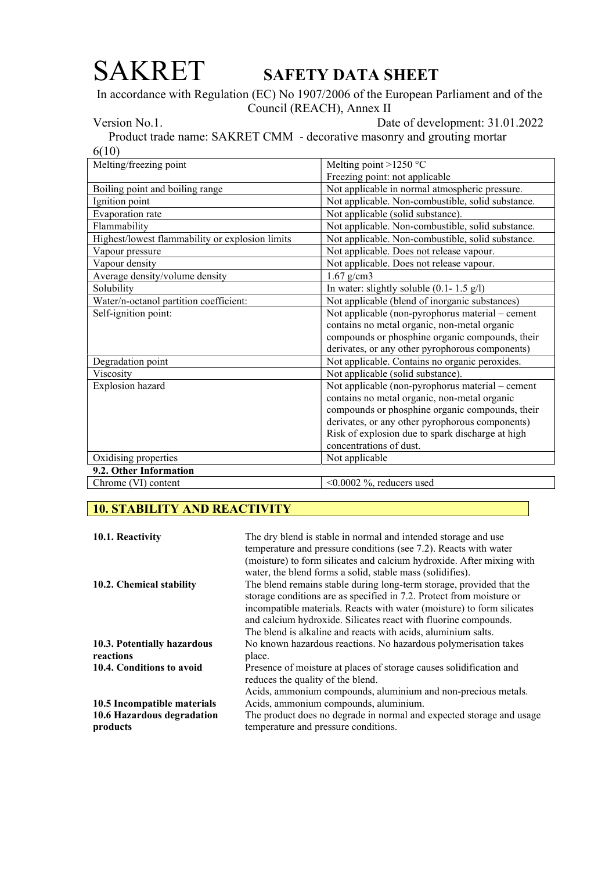In accordance with Regulation (EC) No 1907/2006 of the European Parliament and of the Council (REACH), Annex II

Version No.1. Date of development: 31.01.2022

 Product trade name: SAKRET CMM - decorative masonry and grouting mortar 6(10)

| Melting/freezing point                          | Melting point >1250 °C                            |  |
|-------------------------------------------------|---------------------------------------------------|--|
|                                                 | Freezing point: not applicable                    |  |
| Boiling point and boiling range                 | Not applicable in normal atmospheric pressure.    |  |
| Ignition point                                  | Not applicable. Non-combustible, solid substance. |  |
| Evaporation rate                                | Not applicable (solid substance).                 |  |
| Flammability                                    | Not applicable. Non-combustible, solid substance. |  |
| Highest/lowest flammability or explosion limits | Not applicable. Non-combustible, solid substance. |  |
| Vapour pressure                                 | Not applicable. Does not release vapour.          |  |
| Vapour density                                  | Not applicable. Does not release vapour.          |  |
| Average density/volume density                  | $1.67$ g/cm3                                      |  |
| Solubility                                      | In water: slightly soluble $(0.1 - 1.5 g/l)$      |  |
| Water/n-octanol partition coefficient:          | Not applicable (blend of inorganic substances)    |  |
| Self-ignition point:                            | Not applicable (non-pyrophorus material – cement  |  |
|                                                 | contains no metal organic, non-metal organic      |  |
|                                                 | compounds or phosphine organic compounds, their   |  |
|                                                 | derivates, or any other pyrophorous components)   |  |
| Degradation point                               | Not applicable. Contains no organic peroxides.    |  |
| Viscosity                                       | Not applicable (solid substance).                 |  |
| Explosion hazard                                | Not applicable (non-pyrophorus material – cement  |  |
|                                                 | contains no metal organic, non-metal organic      |  |
|                                                 | compounds or phosphine organic compounds, their   |  |
|                                                 | derivates, or any other pyrophorous components)   |  |
|                                                 | Risk of explosion due to spark discharge at high  |  |
|                                                 | concentrations of dust.                           |  |
| Oxidising properties                            | Not applicable                                    |  |
| 9.2. Other Information                          |                                                   |  |
| Chrome (VI) content                             | $< 0.0002$ %, reducers used                       |  |

## 10. STABILITY AND REACTIVITY

| 10.1. Reactivity                         | The dry blend is stable in normal and intended storage and use<br>temperature and pressure conditions (see 7.2). Reacts with water<br>(moisture) to form silicates and calcium hydroxide. After mixing with<br>water, the blend forms a solid, stable mass (solidifies).                                                                                   |
|------------------------------------------|------------------------------------------------------------------------------------------------------------------------------------------------------------------------------------------------------------------------------------------------------------------------------------------------------------------------------------------------------------|
| 10.2. Chemical stability                 | The blend remains stable during long-term storage, provided that the<br>storage conditions are as specified in 7.2. Protect from moisture or<br>incompatible materials. Reacts with water (moisture) to form silicates<br>and calcium hydroxide. Silicates react with fluorine compounds.<br>The blend is alkaline and reacts with acids, aluminium salts. |
| 10.3. Potentially hazardous<br>reactions | No known hazardous reactions. No hazardous polymerisation takes<br>place.                                                                                                                                                                                                                                                                                  |
|                                          |                                                                                                                                                                                                                                                                                                                                                            |
| 10.4. Conditions to avoid                | Presence of moisture at places of storage causes solidification and<br>reduces the quality of the blend.                                                                                                                                                                                                                                                   |
|                                          | Acids, ammonium compounds, aluminium and non-precious metals.                                                                                                                                                                                                                                                                                              |
| 10.5 Incompatible materials              | Acids, ammonium compounds, aluminium.                                                                                                                                                                                                                                                                                                                      |
| 10.6 Hazardous degradation<br>products   | The product does no degrade in normal and expected storage and usage<br>temperature and pressure conditions.                                                                                                                                                                                                                                               |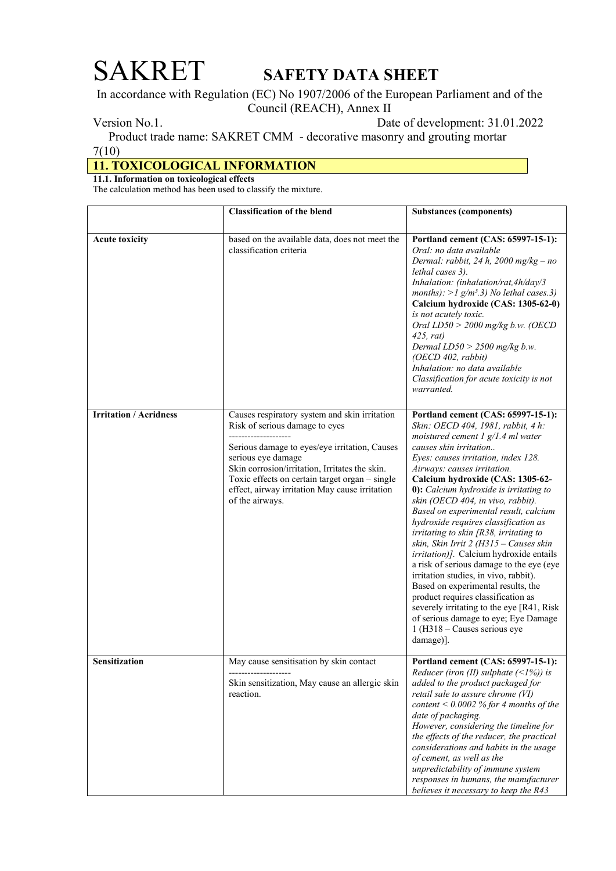In accordance with Regulation (EC) No 1907/2006 of the European Parliament and of the Council (REACH), Annex II

Version No.1. Date of development: 31.01.2022

 Product trade name: SAKRET CMM - decorative masonry and grouting mortar 7(10)

## 11. TOXICOLOGICAL INFORMATION

11.1. Information on toxicological effects

The calculation method has been used to classify the mixture.

|                               | <b>Classification of the blend</b>                                                                                                                                                                                                                                                                                              | <b>Substances (components)</b>                                                                                                                                                                                                                                                                                                                                                                                                                                                                                                                                                                                                                                                                                                                                                                                                                                      |
|-------------------------------|---------------------------------------------------------------------------------------------------------------------------------------------------------------------------------------------------------------------------------------------------------------------------------------------------------------------------------|---------------------------------------------------------------------------------------------------------------------------------------------------------------------------------------------------------------------------------------------------------------------------------------------------------------------------------------------------------------------------------------------------------------------------------------------------------------------------------------------------------------------------------------------------------------------------------------------------------------------------------------------------------------------------------------------------------------------------------------------------------------------------------------------------------------------------------------------------------------------|
| <b>Acute toxicity</b>         | based on the available data, does not meet the<br>classification criteria                                                                                                                                                                                                                                                       | Portland cement (CAS: 65997-15-1):<br>Oral: no data available<br>Dermal: rabbit, 24 h, 2000 mg/kg - no<br>lethal cases 3).<br>Inhalation: (inhalation/rat,4h/day/3<br>months): > 1 g/m <sup>3</sup> .3) No lethal cases.3)<br>Calcium hydroxide (CAS: 1305-62-0)<br>is not acutely toxic.<br>Oral $LD50 > 2000$ mg/kg b.w. (OECD<br>$425$ , rat)<br>Dermal $LD50 > 2500$ mg/kg b.w.<br>(OECD 402, rabbit)<br>Inhalation: no data available<br>Classification for acute toxicity is not<br>warranted.                                                                                                                                                                                                                                                                                                                                                                |
| <b>Irritation / Acridness</b> | Causes respiratory system and skin irritation<br>Risk of serious damage to eyes<br>Serious damage to eyes/eye irritation, Causes<br>serious eye damage<br>Skin corrosion/irritation, Irritates the skin.<br>Toxic effects on certain target organ - single<br>effect, airway irritation May cause irritation<br>of the airways. | Portland cement (CAS: 65997-15-1):<br>Skin: OECD 404, 1981, rabbit, 4 h:<br>moistured cement $1$ g/1.4 ml water<br>causes skin irritation<br>Eyes: causes irritation, index 128.<br>Airways: causes irritation.<br>Calcium hydroxide (CAS: 1305-62-<br>0): Calcium hydroxide is irritating to<br>skin (OECD 404, in vivo, rabbit).<br>Based on experimental result, calcium<br>hydroxide requires classification as<br>irritating to skin $[R38]$ , irritating to<br>skin, Skin Irrit 2 (H315 - Causes skin<br>irritation)]. Calcium hydroxide entails<br>a risk of serious damage to the eye (eye<br>irritation studies, in vivo, rabbit).<br>Based on experimental results, the<br>product requires classification as<br>severely irritating to the eye [R41, Risk]<br>of serious damage to eye; Eye Damage<br>$1(H318 - \text{Causes serious eye})$<br>damage)]. |
| Sensitization                 | May cause sensitisation by skin contact<br>Skin sensitization, May cause an allergic skin<br>reaction.                                                                                                                                                                                                                          | Portland cement (CAS: 65997-15-1):<br>Reducer (iron (II) sulphate $(\leq 1\%)$ ) is<br>added to the product packaged for<br>retail sale to assure chrome (VI)<br>content < $0.0002$ % for 4 months of the<br>date of packaging.<br>However, considering the timeline for<br>the effects of the reducer, the practical<br>considerations and habits in the usage<br>of cement, as well as the<br>unpredictability of immune system<br>responses in humans, the manufacturer<br>believes it necessary to keep the R43                                                                                                                                                                                                                                                                                                                                                 |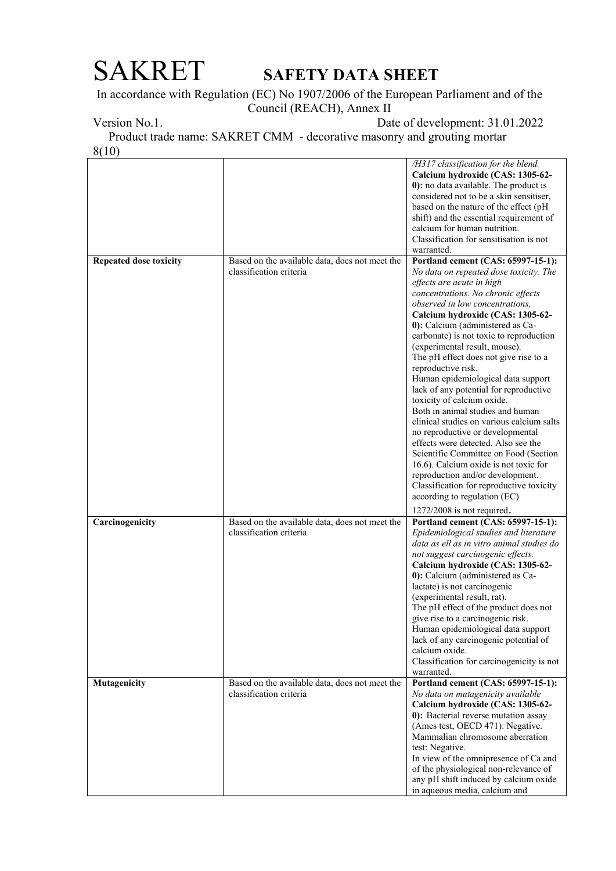In accordance with Regulation (EC) No 1907/2006 of the European Parliament and of the Council (REACH), Annex II

Version No.1. Date of development: 31.01.2022

 Product trade name: SAKRET CMM - decorative masonry and grouting mortar 8(10)

|                               |                                                                           | /H317 classification for the blend.<br>Calcium hydroxide (CAS: 1305-62-<br>0): no data available. The product is<br>considered not to be a skin sensitiser,<br>based on the nature of the effect (pH<br>shift) and the essential requirement of<br>calcium for human nutrition.<br>Classification for sensitisation is not<br>warranted.                                                                                                                                                                                                                                                                                                                                                                                                                                                                                                                                                                        |
|-------------------------------|---------------------------------------------------------------------------|-----------------------------------------------------------------------------------------------------------------------------------------------------------------------------------------------------------------------------------------------------------------------------------------------------------------------------------------------------------------------------------------------------------------------------------------------------------------------------------------------------------------------------------------------------------------------------------------------------------------------------------------------------------------------------------------------------------------------------------------------------------------------------------------------------------------------------------------------------------------------------------------------------------------|
| <b>Repeated dose toxicity</b> | Based on the available data, does not meet the<br>classification criteria | Portland cement (CAS: 65997-15-1):<br>No data on repeated dose toxicity. The<br>effects are acute in high<br>concentrations. No chronic effects<br>observed in low concentrations,<br>Calcium hydroxide (CAS: 1305-62-<br>0): Calcium (administered as Ca-<br>carbonate) is not toxic to reproduction<br>(experimental result, mouse).<br>The pH effect does not give rise to a<br>reproductive risk.<br>Human epidemiological data support<br>lack of any potential for reproductive<br>toxicity of calcium oxide.<br>Both in animal studies and human<br>clinical studies on various calcium salts<br>no reproductive or developmental<br>effects were detected. Also see the<br>Scientific Committee on Food (Section<br>16.6). Calcium oxide is not toxic for<br>reproduction and/or development.<br>Classification for reproductive toxicity<br>according to regulation (EC)<br>1272/2008 is not required. |
| Carcinogenicity               | Based on the available data, does not meet the<br>classification criteria | Portland cement (CAS: 65997-15-1):<br>Epidemiological studies and literature<br>data as ell as in vitro animal studies do<br>not suggest carcinogenic effects.<br>Calcium hydroxide (CAS: 1305-62-<br>0): Calcium (administered as Ca-<br>lactate) is not carcinogenic<br>(experimental result, rat).<br>The pH effect of the product does not<br>give rise to a carcinogenic risk.<br>Human epidemiological data support<br>lack of any carcinogenic potential of<br>calcium oxide.<br>Classification for carcinogenicity is not<br>warranted.                                                                                                                                                                                                                                                                                                                                                                 |
| Mutagenicity                  | Based on the available data, does not meet the<br>classification criteria | Portland cement (CAS: 65997-15-1):<br>No data on mutagenicity available<br>Calcium hydroxide (CAS: 1305-62-<br>0): Bacterial reverse mutation assay<br>(Ames test, OECD 471): Negative.<br>Mammalian chromosome aberration<br>test: Negative.<br>In view of the omnipresence of Ca and<br>of the physiological non-relevance of<br>any pH shift induced by calcium oxide<br>in aqueous media, calcium and                                                                                                                                                                                                                                                                                                                                                                                                                                                                                                       |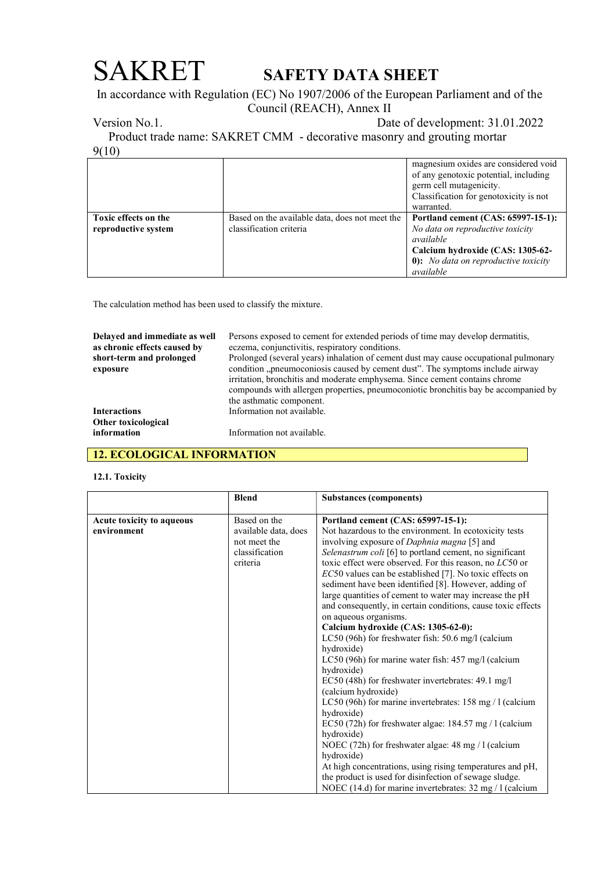In accordance with Regulation (EC) No 1907/2006 of the European Parliament and of the Council (REACH), Annex II

Version No.1. Date of development: 31.01.2022

 Product trade name: SAKRET CMM - decorative masonry and grouting mortar 9(10)

|                      |                                                | magnesium oxides are considered void   |
|----------------------|------------------------------------------------|----------------------------------------|
|                      |                                                | of any genotoxic potential, including  |
|                      |                                                | germ cell mutagenicity.                |
|                      |                                                | Classification for genotoxicity is not |
|                      |                                                | warranted.                             |
| Toxic effects on the | Based on the available data, does not meet the | Portland cement (CAS: 65997-15-1):     |
| reproductive system  | classification criteria                        | No data on reproductive toxicity       |
|                      |                                                | available                              |
|                      |                                                | Calcium hydroxide (CAS: 1305-62-       |
|                      |                                                | 0): No data on reproductive toxicity   |
|                      |                                                | available                              |

The calculation method has been used to classify the mixture.

| Delayed and immediate as well | Persons exposed to cement for extended periods of time may develop dermatitis,                                                                                                                                                                                                  |  |  |  |
|-------------------------------|---------------------------------------------------------------------------------------------------------------------------------------------------------------------------------------------------------------------------------------------------------------------------------|--|--|--|
| as chronic effects caused by  | eczema, conjunctivitis, respiratory conditions.                                                                                                                                                                                                                                 |  |  |  |
| short-term and prolonged      | Prolonged (several years) inhalation of cement dust may cause occupational pulmonary                                                                                                                                                                                            |  |  |  |
| exposure                      | condition "pneumoconiosis caused by cement dust". The symptoms include airway<br>irritation, bronchitis and moderate emphysema. Since cement contains chrome<br>compounds with allergen properties, pneumoconiotic bronchitis bay be accompanied by<br>the asthmatic component. |  |  |  |
| <b>Interactions</b>           | Information not available.                                                                                                                                                                                                                                                      |  |  |  |
| Other toxicological           |                                                                                                                                                                                                                                                                                 |  |  |  |
| information                   | Information not available.                                                                                                                                                                                                                                                      |  |  |  |

## 12. ECOLOGICAL INFORMATION

### 12.1. Toxicity

|                           | <b>Blend</b>         | <b>Substances (components)</b>                                     |
|---------------------------|----------------------|--------------------------------------------------------------------|
| Acute toxicity to aqueous | Based on the         | Portland cement (CAS: 65997-15-1):                                 |
| environment               | available data, does | Not hazardous to the environment. In ecotoxicity tests             |
|                           | not meet the         | involving exposure of <i>Daphnia magna</i> [5] and                 |
|                           | classification       | Selenastrum coli [6] to portland cement, no significant            |
|                           | criteria             | toxic effect were observed. For this reason, no LC50 or            |
|                           |                      | $EC50$ values can be established [7]. No toxic effects on          |
|                           |                      | sediment have been identified [8]. However, adding of              |
|                           |                      | large quantities of cement to water may increase the pH            |
|                           |                      | and consequently, in certain conditions, cause toxic effects       |
|                           |                      | on aqueous organisms.                                              |
|                           |                      | Calcium hydroxide (CAS: 1305-62-0):                                |
|                           |                      | LC50 (96h) for freshwater fish: 50.6 mg/l (calcium                 |
|                           |                      | hydroxide)                                                         |
|                           |                      | LC50 (96h) for marine water fish: $457 \text{ mg/l}$ (calcium      |
|                           |                      | hydroxide)                                                         |
|                           |                      | EC50 (48h) for freshwater invertebrates: 49.1 mg/l                 |
|                           |                      | (calcium hydroxide)                                                |
|                           |                      | LC50 (96h) for marine invertebrates: $158 \text{ mg} / 1$ (calcium |
|                           |                      | hydroxide)                                                         |
|                           |                      | EC50 (72h) for freshwater algae: $184.57$ mg / 1 (calcium          |
|                           |                      | hydroxide)                                                         |
|                           |                      | NOEC (72h) for freshwater algae: 48 mg / 1 (calcium                |
|                           |                      | hydroxide)                                                         |
|                           |                      | At high concentrations, using rising temperatures and pH,          |
|                           |                      | the product is used for disinfection of sewage sludge.             |
|                           |                      | NOEC (14.d) for marine invertebrates: $32 \text{ mg} / 1$ (calcium |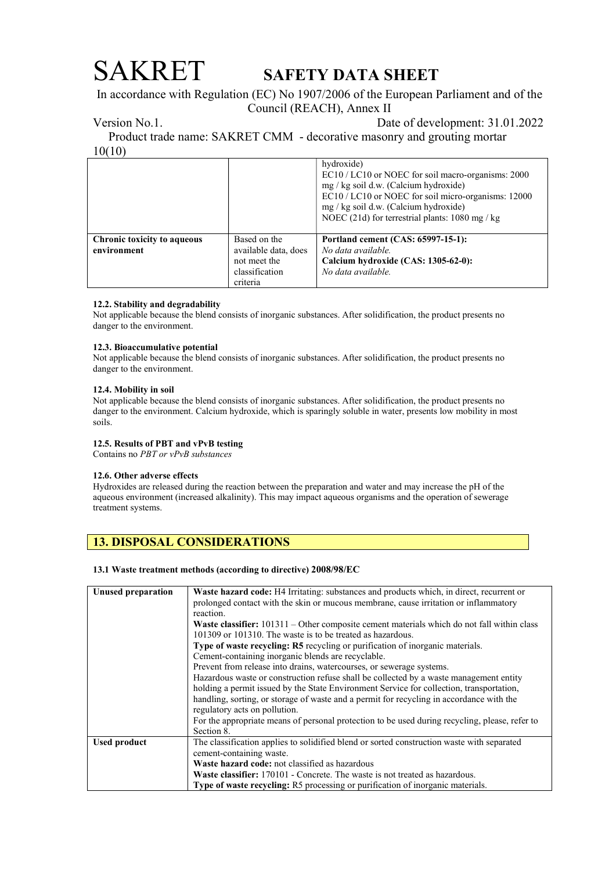In accordance with Regulation (EC) No 1907/2006 of the European Parliament and of the Council (REACH), Annex II

Version No.1. Date of development: 31.01.2022

 Product trade name: SAKRET CMM - decorative masonry and grouting mortar 10(10)

|                                                   |                                      | hydroxide)<br>EC10 / LC10 or NOEC for soil macro-organisms: 2000<br>mg / kg soil d.w. (Calcium hydroxide)<br>EC10 / LC10 or NOEC for soil micro-organisms: 12000<br>mg / kg soil d.w. (Calcium hydroxide)<br>NOEC (21d) for terrestrial plants: $1080 \text{ mg}$ / kg |
|---------------------------------------------------|--------------------------------------|------------------------------------------------------------------------------------------------------------------------------------------------------------------------------------------------------------------------------------------------------------------------|
| <b>Chronic toxicity to aqueous</b><br>environment | Based on the<br>available data, does | Portland cement (CAS: 65997-15-1):<br>No data available.                                                                                                                                                                                                               |
|                                                   | not meet the                         | Calcium hydroxide (CAS: 1305-62-0):                                                                                                                                                                                                                                    |
|                                                   | classification<br>criteria           | No data available.                                                                                                                                                                                                                                                     |

### 12.2. Stability and degradability

Not applicable because the blend consists of inorganic substances. After solidification, the product presents no danger to the environment.

### 12.3. Bioaccumulative potential

Not applicable because the blend consists of inorganic substances. After solidification, the product presents no danger to the environment.

### 12.4. Mobility in soil

Not applicable because the blend consists of inorganic substances. After solidification, the product presents no danger to the environment. Calcium hydroxide, which is sparingly soluble in water, presents low mobility in most soils.

### 12.5. Results of PBT and vPvB testing

Contains no PBT or vPvB substances

### 12.6. Other adverse effects

Hydroxides are released during the reaction between the preparation and water and may increase the pH of the aqueous environment (increased alkalinity). This may impact aqueous organisms and the operation of sewerage treatment systems.

## 13. DISPOSAL CONSIDERATIONS

### 13.1 Waste treatment methods (according to directive) 2008/98/EC

| Unused preparation  | Waste hazard code: H4 Irritating: substances and products which, in direct, recurrent or<br>prolonged contact with the skin or mucous membrane, cause irritation or inflammatory |  |  |  |  |
|---------------------|----------------------------------------------------------------------------------------------------------------------------------------------------------------------------------|--|--|--|--|
|                     | reaction.                                                                                                                                                                        |  |  |  |  |
|                     | <b>Waste classifier:</b> 101311 – Other composite cement materials which do not fall within class                                                                                |  |  |  |  |
|                     | 101309 or 101310. The waste is to be treated as hazardous.                                                                                                                       |  |  |  |  |
|                     | <b>Type of waste recycling: R5</b> recycling or purification of inorganic materials.                                                                                             |  |  |  |  |
|                     | Cement-containing inorganic blends are recyclable.                                                                                                                               |  |  |  |  |
|                     | Prevent from release into drains, watercourses, or sewerage systems.                                                                                                             |  |  |  |  |
|                     | Hazardous waste or construction refuse shall be collected by a waste management entity                                                                                           |  |  |  |  |
|                     | holding a permit issued by the State Environment Service for collection, transportation,                                                                                         |  |  |  |  |
|                     | handling, sorting, or storage of waste and a permit for recycling in accordance with the                                                                                         |  |  |  |  |
|                     | regulatory acts on pollution.                                                                                                                                                    |  |  |  |  |
|                     | For the appropriate means of personal protection to be used during recycling, please, refer to                                                                                   |  |  |  |  |
|                     | Section 8.                                                                                                                                                                       |  |  |  |  |
| <b>Used product</b> | The classification applies to solidified blend or sorted construction waste with separated                                                                                       |  |  |  |  |
|                     | cement-containing waste.                                                                                                                                                         |  |  |  |  |
|                     | <b>Waste hazard code:</b> not classified as hazardous                                                                                                                            |  |  |  |  |
|                     | <b>Waste classifier:</b> 170101 - Concrete. The waste is not treated as hazardous.                                                                                               |  |  |  |  |
|                     | <b>Type of waste recycling:</b> R5 processing or purification of inorganic materials.                                                                                            |  |  |  |  |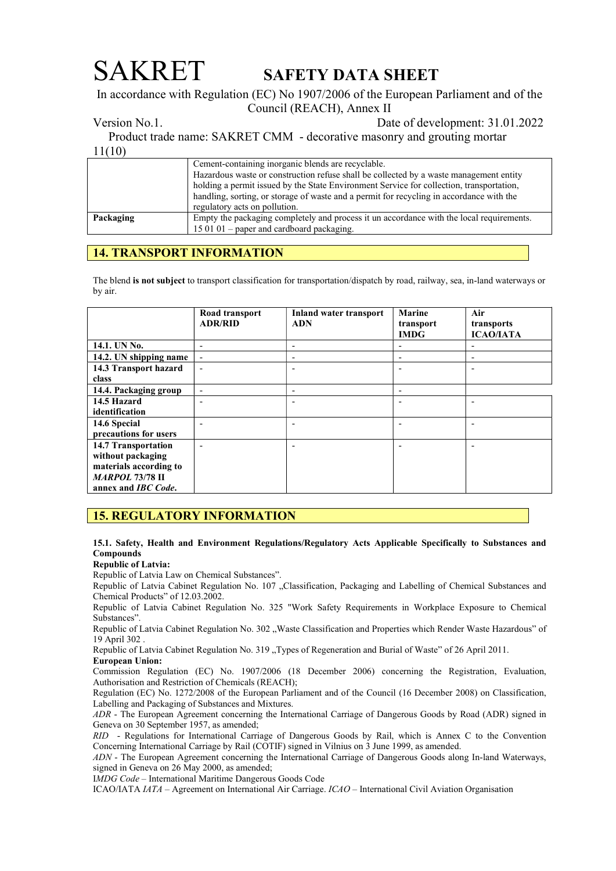In accordance with Regulation (EC) No 1907/2006 of the European Parliament and of the Council (REACH), Annex II

Version No.1. Date of development: 31.01.2022

 Product trade name: SAKRET CMM - decorative masonry and grouting mortar 11(10)

|           | Cement-containing inorganic blends are recyclable.                                       |  |  |  |
|-----------|------------------------------------------------------------------------------------------|--|--|--|
|           | Hazardous waste or construction refuse shall be collected by a waste management entity   |  |  |  |
|           | holding a permit issued by the State Environment Service for collection, transportation, |  |  |  |
|           | handling, sorting, or storage of waste and a permit for recycling in accordance with the |  |  |  |
|           | regulatory acts on pollution.                                                            |  |  |  |
| Packaging | Empty the packaging completely and process it un accordance with the local requirements. |  |  |  |
|           | $150101$ – paper and cardboard packaging.                                                |  |  |  |

## 14. TRANSPORT INFORMATION

The blend is not subject to transport classification for transportation/dispatch by road, railway, sea, in-land waterways or by air.

|                             | Road transport<br><b>ADR/RID</b> | <b>Inland water transport</b><br><b>ADN</b> | <b>Marine</b><br>transport<br><b>IMDG</b> | Air<br>transports<br><b>ICAO/IATA</b> |
|-----------------------------|----------------------------------|---------------------------------------------|-------------------------------------------|---------------------------------------|
| 14.1. UN No.                | $\overline{\phantom{a}}$         | $\overline{\phantom{a}}$                    |                                           |                                       |
| 14.2. UN shipping name      | $\blacksquare$                   | $\overline{\phantom{a}}$                    | $\overline{\phantom{a}}$                  | -                                     |
| 14.3 Transport hazard       | $\overline{a}$                   |                                             |                                           |                                       |
| class                       |                                  |                                             |                                           |                                       |
| 14.4. Packaging group       | $\blacksquare$                   |                                             | $\overline{\phantom{0}}$                  |                                       |
| 14.5 Hazard                 | $\overline{\phantom{0}}$         |                                             |                                           |                                       |
| identification              |                                  |                                             |                                           |                                       |
| 14.6 Special                |                                  |                                             |                                           |                                       |
| precautions for users       |                                  |                                             |                                           |                                       |
| 14.7 Transportation         |                                  |                                             |                                           |                                       |
| without packaging           |                                  |                                             |                                           |                                       |
| materials according to      |                                  |                                             |                                           |                                       |
| <b>MARPOL 73/78 II</b>      |                                  |                                             |                                           |                                       |
| annex and <i>IBC Code</i> . |                                  |                                             |                                           |                                       |

## 15. REGULATORY INFORMATION

15.1. Safety, Health and Environment Regulations/Regulatory Acts Applicable Specifically to Substances and Compounds

### Republic of Latvia:

Republic of Latvia Law on Chemical Substances".

Republic of Latvia Cabinet Regulation No. 107 "Classification, Packaging and Labelling of Chemical Substances and Chemical Products" of 12.03.2002.

Republic of Latvia Cabinet Regulation No. 325 "Work Safety Requirements in Workplace Exposure to Chemical Substances".

Republic of Latvia Cabinet Regulation No. 302 "Waste Classification and Properties which Render Waste Hazardous" of 19 April 302 .

Republic of Latvia Cabinet Regulation No. 319 "Types of Regeneration and Burial of Waste" of 26 April 2011.

European Union:

Commission Regulation (EC) No. 1907/2006 (18 December 2006) concerning the Registration, Evaluation, Authorisation and Restriction of Chemicals (REACH);

Regulation (EC) No. 1272/2008 of the European Parliament and of the Council (16 December 2008) on Classification, Labelling and Packaging of Substances and Mixtures.

ADR - The European Agreement concerning the International Carriage of Dangerous Goods by Road (ADR) signed in Geneva on 30 September 1957, as amended;

RID - Regulations for International Carriage of Dangerous Goods by Rail, which is Annex C to the Convention Concerning International Carriage by Rail (COTIF) signed in Vilnius on 3 June 1999, as amended.

ADN - The European Agreement concerning the International Carriage of Dangerous Goods along In-land Waterways, signed in Geneva on 26 May 2000, as amended;

IMDG Code – International Maritime Dangerous Goods Code

ICAO/IATA IATA – Agreement on International Air Carriage. ICAO – International Civil Aviation Organisation